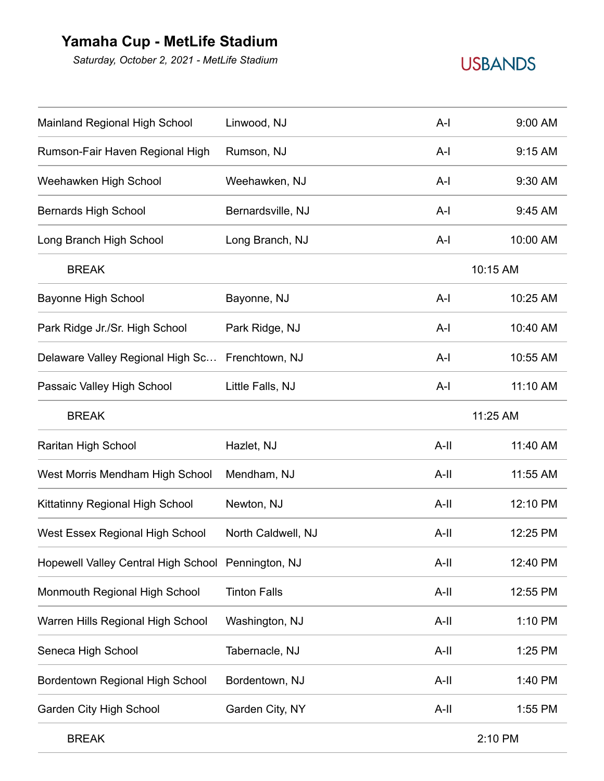## **Yamaha Cup - MetLife Stadium**

*Saturday, October 2, 2021 - MetLife Stadium*

## **USBANDS**

| Mainland Regional High School                      | Linwood, NJ         | $A-I$   | 9:00 AM  |  |
|----------------------------------------------------|---------------------|---------|----------|--|
| Rumson-Fair Haven Regional High                    | Rumson, NJ          | $A-I$   | 9:15 AM  |  |
| Weehawken High School                              | Weehawken, NJ       | $A-I$   | 9:30 AM  |  |
| <b>Bernards High School</b>                        | Bernardsville, NJ   | $A-I$   | 9:45 AM  |  |
| Long Branch High School                            | Long Branch, NJ     | $A-I$   | 10:00 AM |  |
| <b>BREAK</b>                                       |                     |         | 10:15 AM |  |
| <b>Bayonne High School</b>                         | Bayonne, NJ         | $A-I$   | 10:25 AM |  |
| Park Ridge Jr./Sr. High School                     | Park Ridge, NJ      | $A-I$   | 10:40 AM |  |
| Delaware Valley Regional High Sc Frenchtown, NJ    |                     | $A-I$   | 10:55 AM |  |
| Passaic Valley High School                         | Little Falls, NJ    | $A-I$   | 11:10 AM |  |
| <b>BREAK</b>                                       |                     |         | 11:25 AM |  |
| Raritan High School                                | Hazlet, NJ          | $A-II$  | 11:40 AM |  |
| West Morris Mendham High School                    | Mendham, NJ         | $A-II$  | 11:55 AM |  |
| Kittatinny Regional High School                    | Newton, NJ          | $A-II$  | 12:10 PM |  |
| West Essex Regional High School                    | North Caldwell, NJ  | $A-II$  | 12:25 PM |  |
| Hopewell Valley Central High School Pennington, NJ |                     | $A-II$  | 12:40 PM |  |
| Monmouth Regional High School                      | <b>Tinton Falls</b> | A-II    | 12:55 PM |  |
| Warren Hills Regional High School                  | Washington, NJ      | A-II    | 1:10 PM  |  |
| Seneca High School                                 | Tabernacle, NJ      | A-II    | 1:25 PM  |  |
| Bordentown Regional High School                    | Bordentown, NJ      | A-II    | 1:40 PM  |  |
| Garden City High School                            | Garden City, NY     | A-II    | 1:55 PM  |  |
| <b>BREAK</b>                                       |                     | 2:10 PM |          |  |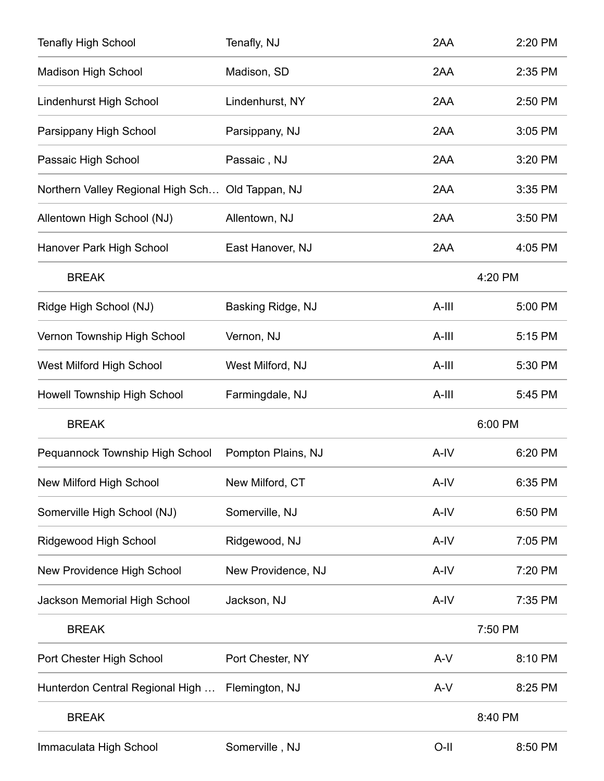| <b>Tenafly High School</b>                       | Tenafly, NJ        | 2AA     | 2:20 PM |  |
|--------------------------------------------------|--------------------|---------|---------|--|
| <b>Madison High School</b>                       | Madison, SD        | 2AA     | 2:35 PM |  |
| Lindenhurst High School                          | Lindenhurst, NY    | 2AA     | 2:50 PM |  |
| Parsippany High School                           | Parsippany, NJ     | 2AA     | 3:05 PM |  |
| Passaic High School                              | Passaic, NJ        | 2AA     | 3:20 PM |  |
| Northern Valley Regional High Sch Old Tappan, NJ |                    | 2AA     | 3:35 PM |  |
| Allentown High School (NJ)                       | Allentown, NJ      | 2AA     | 3:50 PM |  |
| Hanover Park High School                         | East Hanover, NJ   | 2AA     | 4:05 PM |  |
| <b>BREAK</b>                                     |                    | 4:20 PM |         |  |
| Ridge High School (NJ)                           | Basking Ridge, NJ  | $A-III$ | 5:00 PM |  |
| Vernon Township High School                      | Vernon, NJ         | A-III   | 5:15 PM |  |
| West Milford High School                         | West Milford, NJ   | A-III   | 5:30 PM |  |
| Howell Township High School                      | Farmingdale, NJ    | A-III   | 5:45 PM |  |
| <b>BREAK</b>                                     |                    | 6:00 PM |         |  |
| Pequannock Township High School                  | Pompton Plains, NJ | A-IV    | 6:20 PM |  |
| New Milford High School                          | New Milford, CT    | A-IV    | 6:35 PM |  |
| Somerville High School (NJ)                      | Somerville, NJ     | A-IV    | 6:50 PM |  |
| Ridgewood High School                            | Ridgewood, NJ      | A-IV    | 7:05 PM |  |
| New Providence High School                       | New Providence, NJ | A-IV    | 7:20 PM |  |
| Jackson Memorial High School                     | Jackson, NJ        | A-IV    | 7:35 PM |  |
| <b>BREAK</b>                                     |                    | 7:50 PM |         |  |
| Port Chester High School                         | Port Chester, NY   | $A-V$   | 8:10 PM |  |
| Hunterdon Central Regional High                  | Flemington, NJ     | $A-V$   | 8:25 PM |  |
| <b>BREAK</b>                                     |                    |         | 8:40 PM |  |
| Immaculata High School                           | Somerville, NJ     | O-II    | 8:50 PM |  |